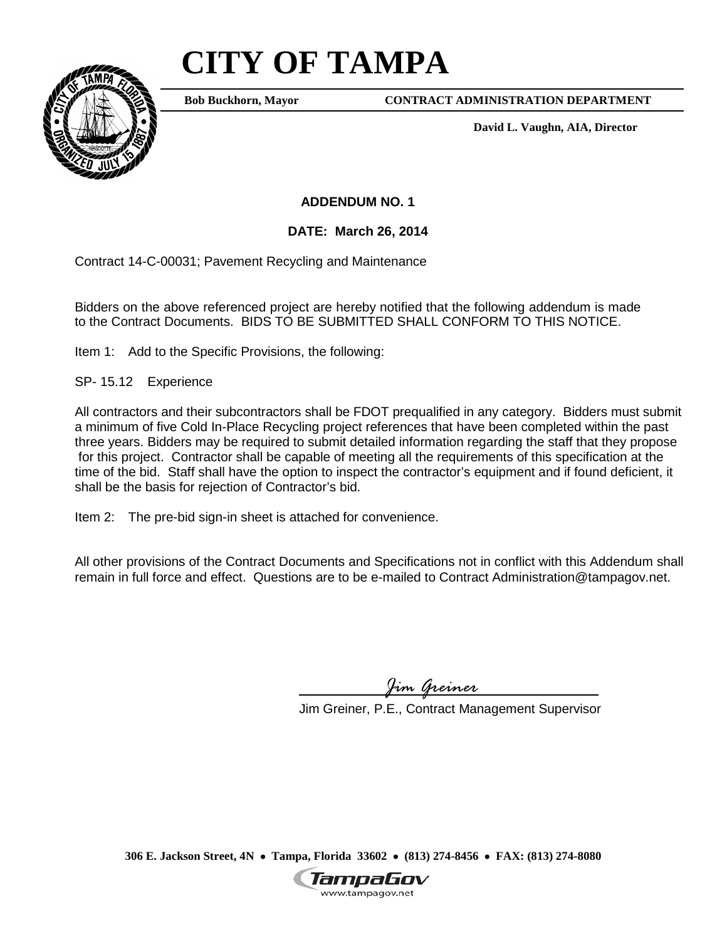## **CITY OF TAMPA**



**Bob Buckhorn, Mayor**

**CONTRACT ADMINISTRATION DEPARTMENT**

**David L. Vaughn, AIA, Director**

**ADDENDUM NO. 1**

**DATE: March 26, 2014**

Contract 14-C-00031; Pavement Recycling and Maintenance

Bidders on the above referenced project are hereby notified that the following addendum is made to the Contract Documents. BIDS TO BE SUBMITTED SHALL CONFORM TO THIS NOTICE.

Item 1: Add to the Specific Provisions, the following:

SP- 15.12 Experience

All contractors and their subcontractors shall be FDOT prequalified in any category. Bidders must submit a minimum of five Cold In-Place Recycling project references that have been completed within the past three years. Bidders may be required to submit detailed information regarding the staff that they propose for this project. Contractor shall be capable of meeting all the requirements of this specification at the time of the bid. Staff shall have the option to inspect the contractor's equipment and if found deficient, it shall be the basis for rejection of Contractor's bid.

Item 2: The pre-bid sign-in sheet is attached for convenience.

All other provisions of the Contract Documents and Specifications not in conflict with this Addendum shall remain in full force and effect. Questions are to be e-mailed to Contract Administration@tampagov.net.

*Jim Greiner*

Jim Greiner, P.E., Contract Management Supervisor

**306 E. Jackson Street, 4N** • **Tampa, Florida 33602** • **(813) 274-8456** • **FAX: (813) 274-8080**